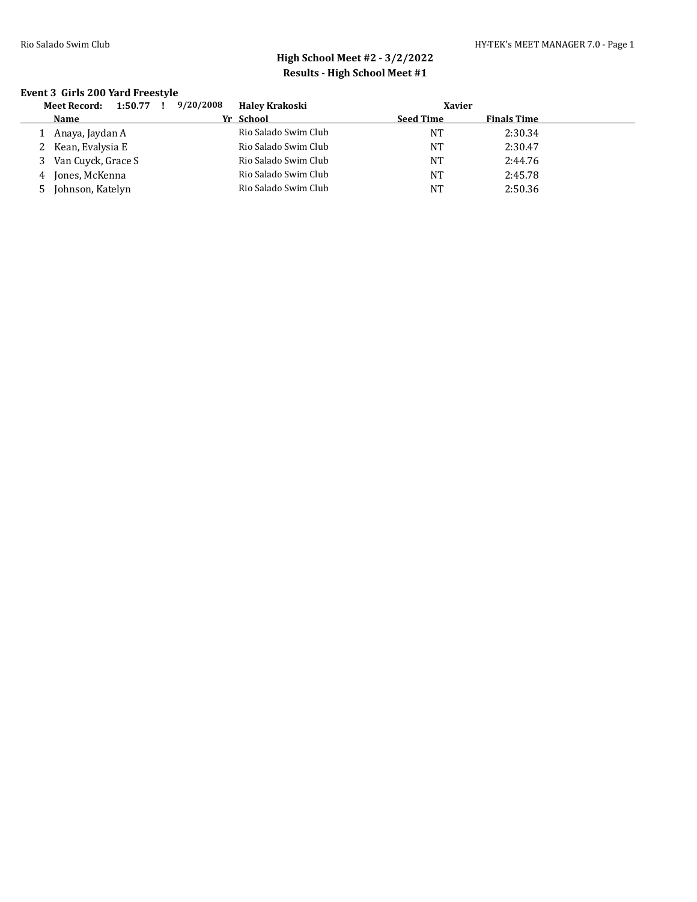### **Event 3 Girls 200 Yard Freestyle**

|   | 1:50.77<br>Meet Record: | 9/20/2008<br>$\mathbf{I}$ | <b>Haley Krakoski</b> |                  | Xavier             |  |
|---|-------------------------|---------------------------|-----------------------|------------------|--------------------|--|
|   | Name                    |                           | Yr School             | <b>Seed Time</b> | <b>Finals Time</b> |  |
|   | Anaya, Jaydan A         |                           | Rio Salado Swim Club  | NΤ               | 2:30.34            |  |
|   | Kean, Evalysia E        |                           | Rio Salado Swim Club  | NT               | 2:30.47            |  |
|   | 3 Van Cuyck, Grace S    |                           | Rio Salado Swim Club  | NT               | 2:44.76            |  |
| 4 | Jones, McKenna          |                           | Rio Salado Swim Club  | <b>NT</b>        | 2:45.78            |  |
|   | Johnson, Katelyn        |                           | Rio Salado Swim Club  | <b>NT</b>        | 2:50.36            |  |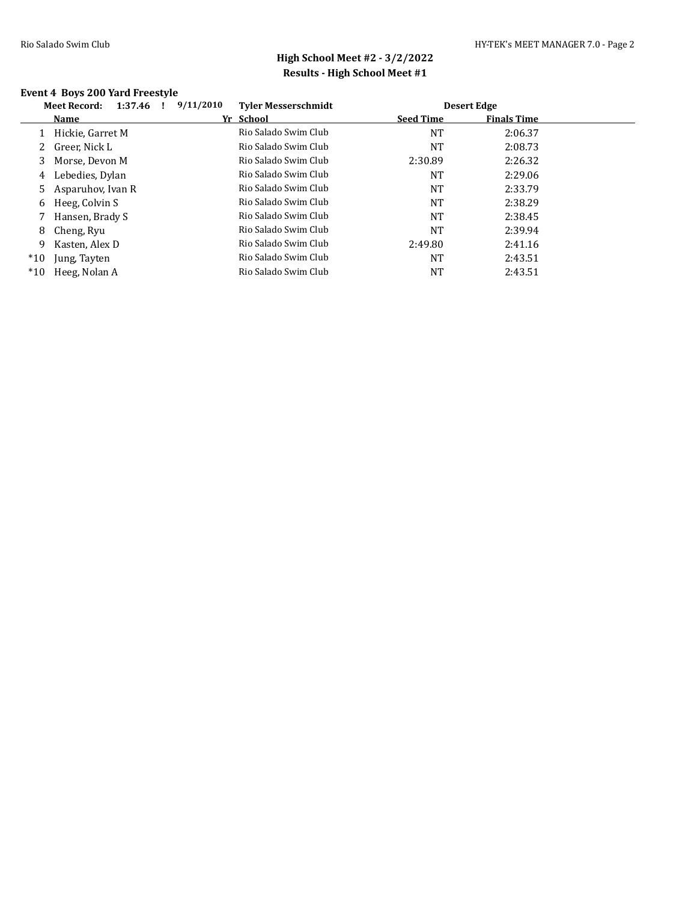### **Event 4 Boys 200 Yard Freestyle**

|       | <b>Meet Record:</b><br>1:37.46 | 9/11/2010 | <b>Tyler Messerschmidt</b> |                  | <b>Desert Edge</b> |  |
|-------|--------------------------------|-----------|----------------------------|------------------|--------------------|--|
|       | Name                           |           | Yr School                  | <b>Seed Time</b> | <b>Finals Time</b> |  |
|       | Hickie, Garret M               |           | Rio Salado Swim Club       | <b>NT</b>        | 2:06.37            |  |
| 2     | Greer, Nick L                  |           | Rio Salado Swim Club       | NT               | 2:08.73            |  |
| 3     | Morse, Devon M                 |           | Rio Salado Swim Club       | 2:30.89          | 2:26.32            |  |
| 4     | Lebedies, Dylan                |           | Rio Salado Swim Club       | NT               | 2:29.06            |  |
| 5.    | Asparuhov, Ivan R              |           | Rio Salado Swim Club       | NT               | 2:33.79            |  |
| 6     | Heeg, Colvin S                 |           | Rio Salado Swim Club       | NT               | 2:38.29            |  |
|       | Hansen, Brady S                |           | Rio Salado Swim Club       | NT               | 2:38.45            |  |
| 8     | Cheng, Ryu                     |           | Rio Salado Swim Club       | NT               | 2:39.94            |  |
| 9     | Kasten, Alex D                 |           | Rio Salado Swim Club       | 2:49.80          | 2:41.16            |  |
| $*10$ | Jung, Tayten                   |           | Rio Salado Swim Club       | <b>NT</b>        | 2:43.51            |  |
| $*10$ | Heeg, Nolan A                  |           | Rio Salado Swim Club       | NT               | 2:43.51            |  |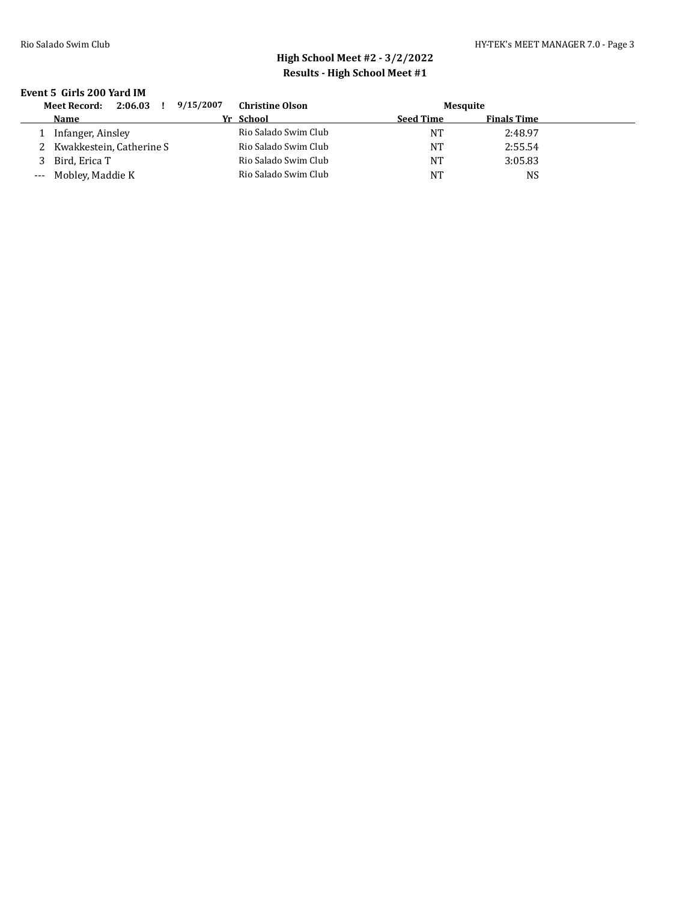#### **Event 5 Girls 200 Yard IM**

| 2:06.03<br><b>Meet Record:</b><br>Ι. | 9/15/2007<br><b>Christine Olson</b> | Mesquite         |                    |  |
|--------------------------------------|-------------------------------------|------------------|--------------------|--|
| Name                                 | Yr School                           | <b>Seed Time</b> | <b>Finals Time</b> |  |
| Infanger, Ainsley                    | Rio Salado Swim Club                | NT               | 2:48.97            |  |
| Kwakkestein, Catherine S             | Rio Salado Swim Club                | NT               | 2:55.54            |  |
| Bird, Erica T                        | Rio Salado Swim Club                | <b>NT</b>        | 3:05.83            |  |
| --- Mobley, Maddie K                 | Rio Salado Swim Club                | NT               | NS                 |  |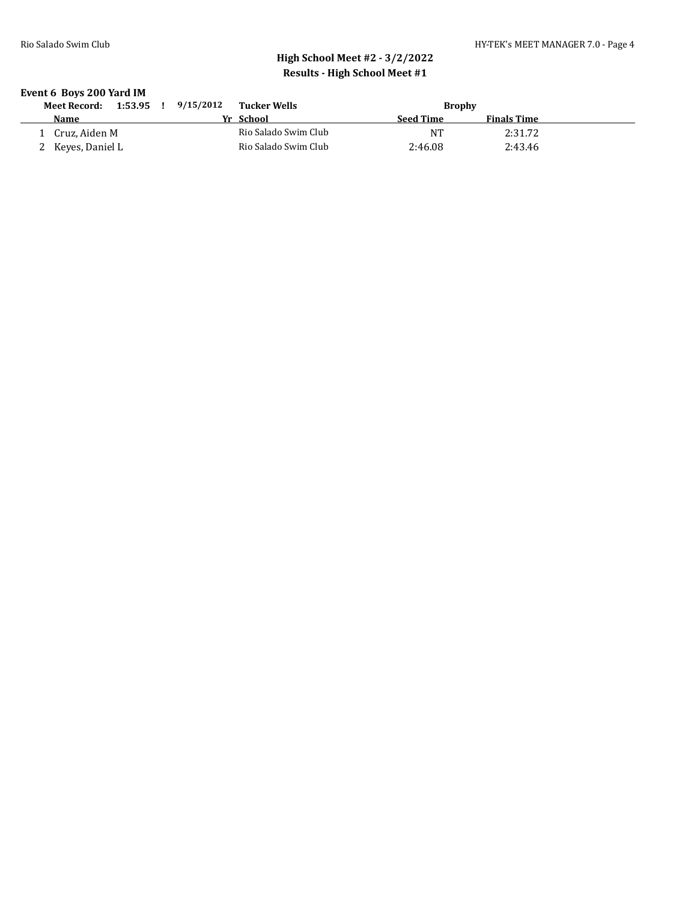### **Event 6 Boys 200 Yard IM**

| 1:53.95<br><b>Meet Record:</b> | 9/15/2012<br>Tucker Wells |           | <b>Brophy</b>      |  |
|--------------------------------|---------------------------|-----------|--------------------|--|
| <b>Name</b>                    | Yr School                 | Seed Time | <b>Finals Time</b> |  |
| Cruz. Aiden M                  | Rio Salado Swim Club      | NT        | 2:31.72            |  |
| 2 Keyes, Daniel L              | Rio Salado Swim Club      | 2:46.08   | 2:43.46            |  |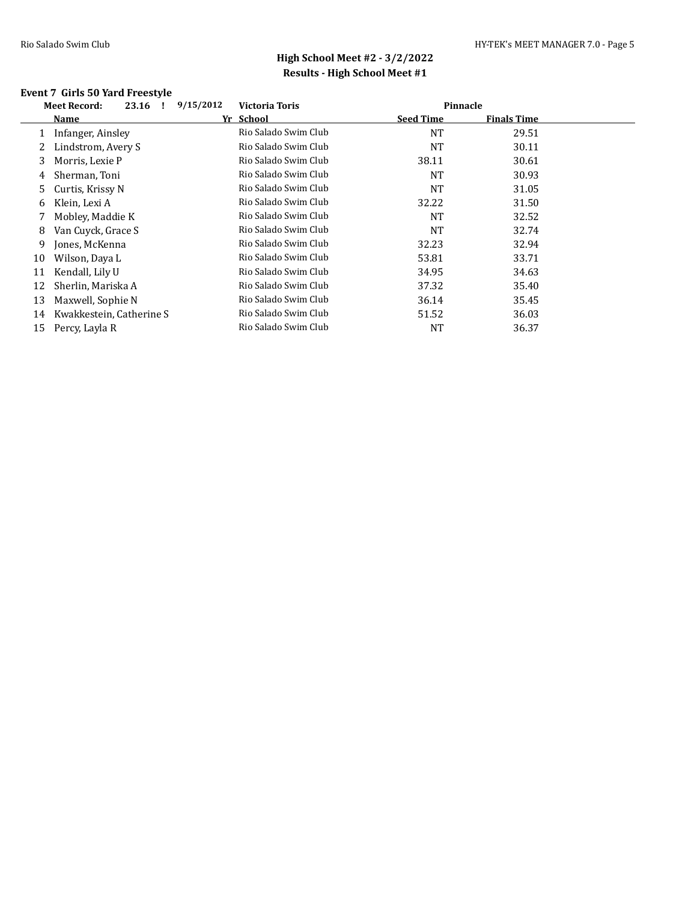### **Event 7 Girls 50 Yard Freestyle**

|              | <b>Meet Record:</b><br>23.16 | 9/15/2012 | <b>Victoria Toris</b> | Pinnacle         |                    |  |
|--------------|------------------------------|-----------|-----------------------|------------------|--------------------|--|
|              | Name                         | Yr School |                       | <b>Seed Time</b> | <b>Finals Time</b> |  |
| $\mathbf{1}$ | Infanger, Ainsley            |           | Rio Salado Swim Club  | <b>NT</b>        | 29.51              |  |
|              | Lindstrom, Avery S           |           | Rio Salado Swim Club  | NT               | 30.11              |  |
| 3            | Morris, Lexie P              |           | Rio Salado Swim Club  | 38.11            | 30.61              |  |
| 4            | Sherman, Toni                |           | Rio Salado Swim Club  | <b>NT</b>        | 30.93              |  |
| 5.           | Curtis, Krissy N             |           | Rio Salado Swim Club  | <b>NT</b>        | 31.05              |  |
| 6            | Klein, Lexi A                |           | Rio Salado Swim Club  | 32.22            | 31.50              |  |
| 7            | Mobley, Maddie K             |           | Rio Salado Swim Club  | <b>NT</b>        | 32.52              |  |
| 8            | Van Cuyck, Grace S           |           | Rio Salado Swim Club  | <b>NT</b>        | 32.74              |  |
| 9            | Jones, McKenna               |           | Rio Salado Swim Club  | 32.23            | 32.94              |  |
| 10           | Wilson, Daya L               |           | Rio Salado Swim Club  | 53.81            | 33.71              |  |
| 11           | Kendall, Lily U              |           | Rio Salado Swim Club  | 34.95            | 34.63              |  |
| 12           | Sherlin, Mariska A           |           | Rio Salado Swim Club  | 37.32            | 35.40              |  |
| 13           | Maxwell, Sophie N            |           | Rio Salado Swim Club  | 36.14            | 35.45              |  |
| 14           | Kwakkestein, Catherine S     |           | Rio Salado Swim Club  | 51.52            | 36.03              |  |
| 15           | Percy, Layla R               |           | Rio Salado Swim Club  | NT               | 36.37              |  |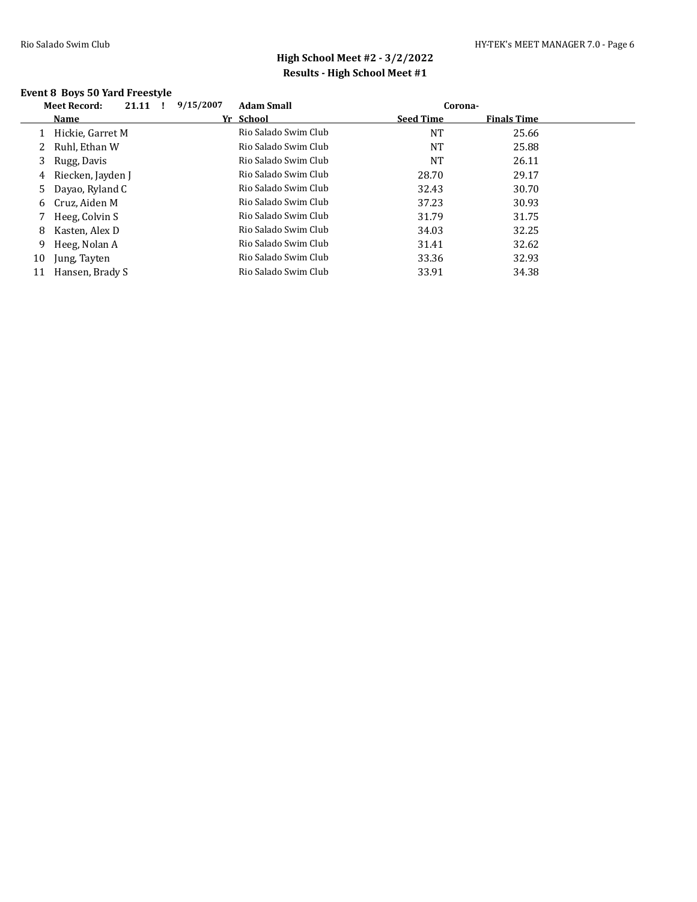### **Event 8 Boys 50 Yard Freestyle**

| <b>Meet Record:</b> | 21.11 |                                                                                                                                                                    | 9/15/2007 | <b>Adam Small</b>    |                  |                    |         |
|---------------------|-------|--------------------------------------------------------------------------------------------------------------------------------------------------------------------|-----------|----------------------|------------------|--------------------|---------|
| Name                |       |                                                                                                                                                                    |           |                      | <b>Seed Time</b> | <b>Finals Time</b> |         |
|                     |       |                                                                                                                                                                    |           | Rio Salado Swim Club | <b>NT</b>        | 25.66              |         |
|                     |       |                                                                                                                                                                    |           | Rio Salado Swim Club | NT               | 25.88              |         |
| Rugg, Davis         |       |                                                                                                                                                                    |           | Rio Salado Swim Club | NT               | 26.11              |         |
|                     |       |                                                                                                                                                                    |           | Rio Salado Swim Club | 28.70            | 29.17              |         |
|                     |       |                                                                                                                                                                    |           | Rio Salado Swim Club | 32.43            | 30.70              |         |
|                     |       |                                                                                                                                                                    |           | Rio Salado Swim Club | 37.23            | 30.93              |         |
|                     |       |                                                                                                                                                                    |           | Rio Salado Swim Club | 31.79            | 31.75              |         |
|                     |       |                                                                                                                                                                    |           | Rio Salado Swim Club | 34.03            | 32.25              |         |
|                     |       |                                                                                                                                                                    |           | Rio Salado Swim Club | 31.41            | 32.62              |         |
| Jung, Tayten        |       |                                                                                                                                                                    |           | Rio Salado Swim Club | 33.36            | 32.93              |         |
|                     |       |                                                                                                                                                                    |           | Rio Salado Swim Club | 33.91            | 34.38              |         |
|                     |       | Hickie, Garret M<br>Ruhl, Ethan W<br>Riecken, Jayden J<br>Dayao, Ryland C<br>Cruz, Aiden M<br>Heeg, Colvin S<br>Kasten, Alex D<br>Heeg, Nolan A<br>Hansen, Brady S |           |                      | Yr School        |                    | Corona- |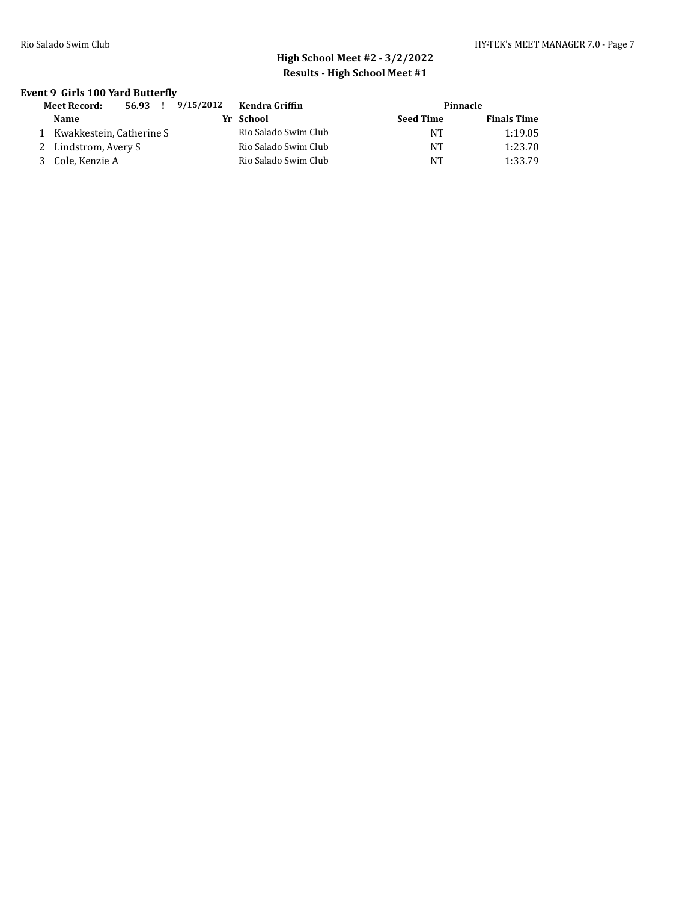### **Event 9 Girls 100 Yard Butterfly**

| 56.93<br><b>Meet Record:</b> | 9/15/2012 | Kendra Griffin       |                  | Pinnacle           |  |
|------------------------------|-----------|----------------------|------------------|--------------------|--|
| Name                         |           | Yr School            | <b>Seed Time</b> | <b>Finals Time</b> |  |
| Kwakkestein, Catherine S     |           | Rio Salado Swim Club | NT               | 1:19.05            |  |
| Lindstrom, Avery S           |           | Rio Salado Swim Club | NT               | 1:23.70            |  |
| Cole, Kenzie A               |           | Rio Salado Swim Club | <b>NT</b>        | 1:33.79            |  |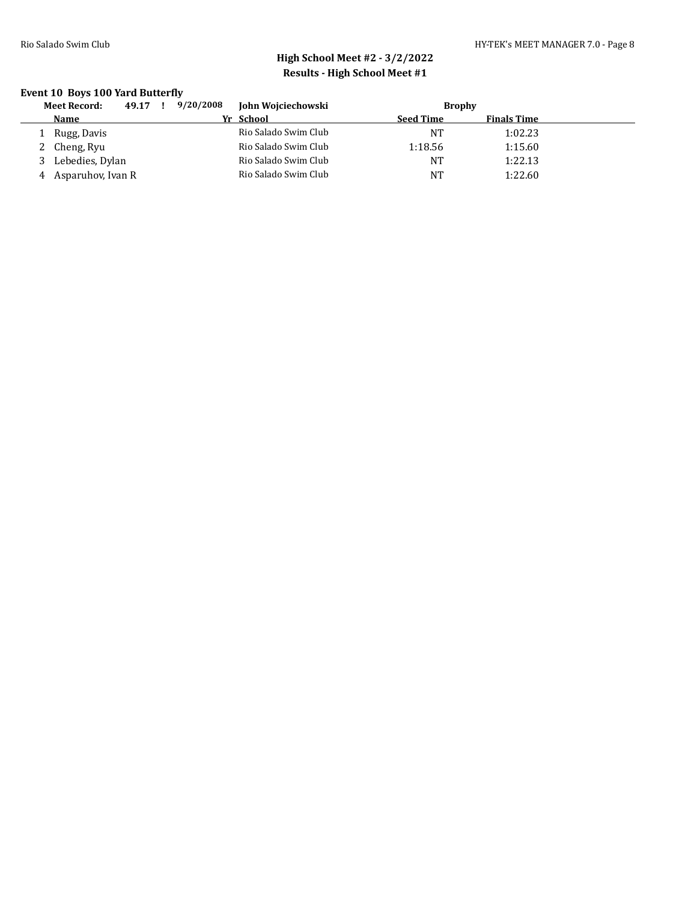### **Event 10 Boys 100 Yard Butterfly**

|   | 49.17<br><b>Meet Record:</b> | 9/20/2008 | John Wojciechowski   |                  | <b>Brophy</b> |                    |  |
|---|------------------------------|-----------|----------------------|------------------|---------------|--------------------|--|
|   | <b>Name</b>                  |           | Yr School            | <b>Seed Time</b> |               | <b>Finals Time</b> |  |
|   | Rugg, Davis                  |           | Rio Salado Swim Club | NT               |               | 1:02.23            |  |
|   | Cheng, Ryu                   |           | Rio Salado Swim Club | 1:18.56          |               | 1:15.60            |  |
|   | Lebedies, Dylan              |           | Rio Salado Swim Club | <b>NT</b>        |               | 1:22.13            |  |
| 4 | Asparuhov, Ivan R            |           | Rio Salado Swim Club | <b>NT</b>        |               | 1:22.60            |  |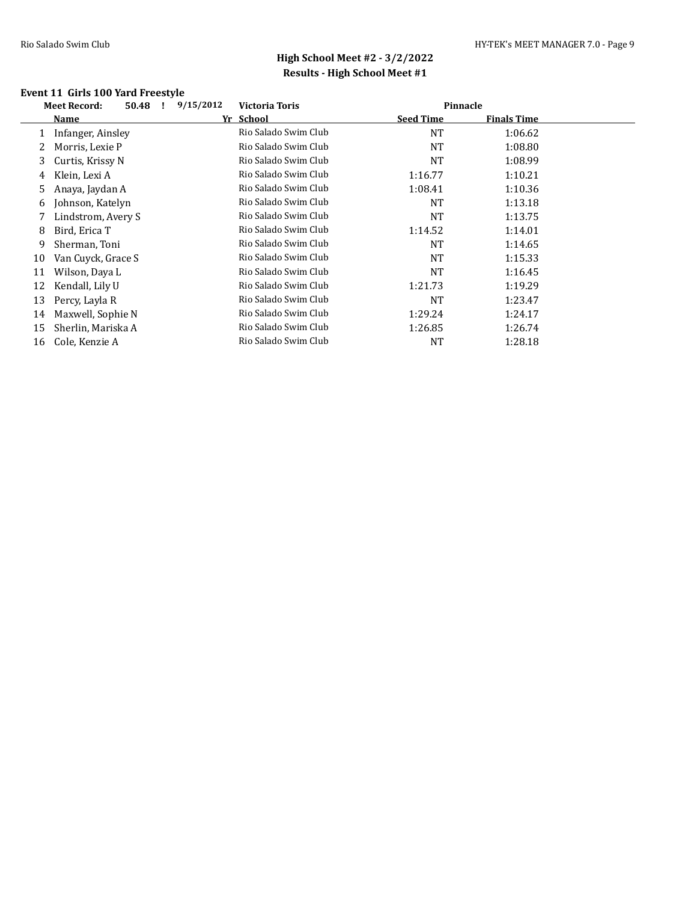### **Event 11 Girls 100 Yard Freestyle**

|    | 50.48<br><b>Meet Record:</b><br>- 1 | 9/15/2012 | <b>Victoria Toris</b> | Pinnacle         |                    |  |
|----|-------------------------------------|-----------|-----------------------|------------------|--------------------|--|
|    | Name                                |           | Yr School             | <b>Seed Time</b> | <b>Finals Time</b> |  |
|    | Infanger, Ainsley                   |           | Rio Salado Swim Club  | <b>NT</b>        | 1:06.62            |  |
| 2  | Morris, Lexie P                     |           | Rio Salado Swim Club  | NT               | 1:08.80            |  |
| 3  | Curtis, Krissy N                    |           | Rio Salado Swim Club  | <b>NT</b>        | 1:08.99            |  |
| 4  | Klein, Lexi A                       |           | Rio Salado Swim Club  | 1:16.77          | 1:10.21            |  |
| 5  | Anaya, Jaydan A                     |           | Rio Salado Swim Club  | 1:08.41          | 1:10.36            |  |
| 6  | Johnson, Katelyn                    |           | Rio Salado Swim Club  | <b>NT</b>        | 1:13.18            |  |
| 7  | Lindstrom, Avery S                  |           | Rio Salado Swim Club  | NT               | 1:13.75            |  |
| 8  | Bird, Erica T                       |           | Rio Salado Swim Club  | 1:14.52          | 1:14.01            |  |
| 9  | Sherman, Toni                       |           | Rio Salado Swim Club  | NT               | 1:14.65            |  |
| 10 | Van Cuyck, Grace S                  |           | Rio Salado Swim Club  | <b>NT</b>        | 1:15.33            |  |
| 11 | Wilson, Daya L                      |           | Rio Salado Swim Club  | <b>NT</b>        | 1:16.45            |  |
| 12 | Kendall, Lily U                     |           | Rio Salado Swim Club  | 1:21.73          | 1:19.29            |  |
| 13 | Percy, Layla R                      |           | Rio Salado Swim Club  | <b>NT</b>        | 1:23.47            |  |
| 14 | Maxwell, Sophie N                   |           | Rio Salado Swim Club  | 1:29.24          | 1:24.17            |  |
| 15 | Sherlin, Mariska A                  |           | Rio Salado Swim Club  | 1:26.85          | 1:26.74            |  |
| 16 | Cole, Kenzie A                      |           | Rio Salado Swim Club  | NT               | 1:28.18            |  |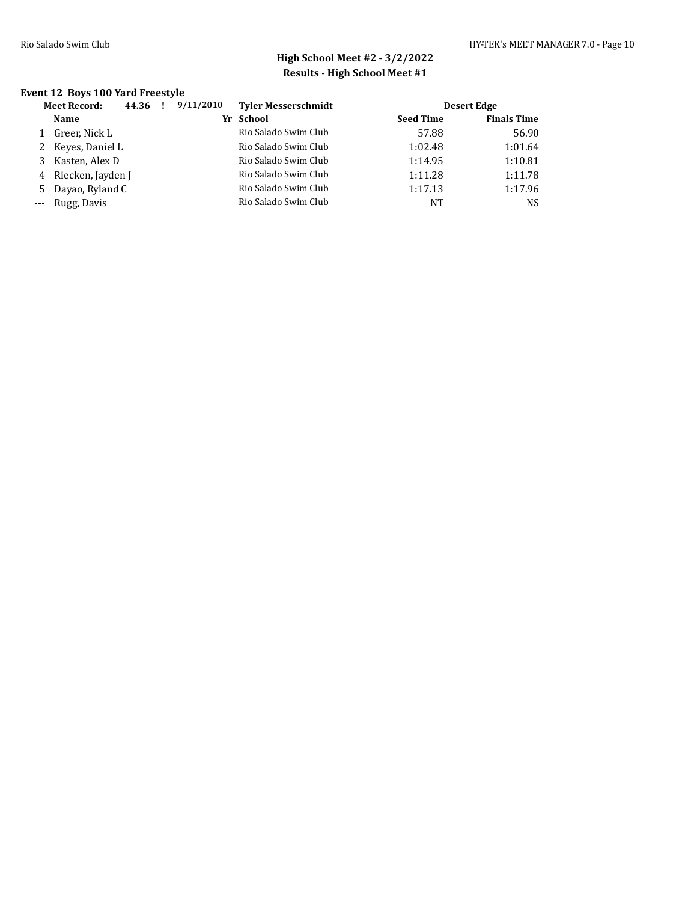### **Event 12 Boys 100 Yard Freestyle**

|    | <b>Meet Record:</b> | 44.36 | 9/11/2010 | <b>Tyler Messerschmidt</b> |                  | Desert Edge        |  |
|----|---------------------|-------|-----------|----------------------------|------------------|--------------------|--|
|    | Name                |       |           | Yr School                  | <b>Seed Time</b> | <b>Finals Time</b> |  |
|    | Greer, Nick L       |       |           | Rio Salado Swim Club       | 57.88            | 56.90              |  |
|    | 2 Keyes, Daniel L   |       |           | Rio Salado Swim Club       | 1:02.48          | 1:01.64            |  |
| 3  | Kasten, Alex D      |       |           | Rio Salado Swim Club       | 1:14.95          | 1:10.81            |  |
| 4  | Riecken, Jayden J   |       |           | Rio Salado Swim Club       | 1:11.28          | 1:11.78            |  |
| 5. | Dayao, Ryland C     |       |           | Rio Salado Swim Club       | 1:17.13          | 1:17.96            |  |
|    | --- Rugg, Davis     |       |           | Rio Salado Swim Club       | NT               | NS                 |  |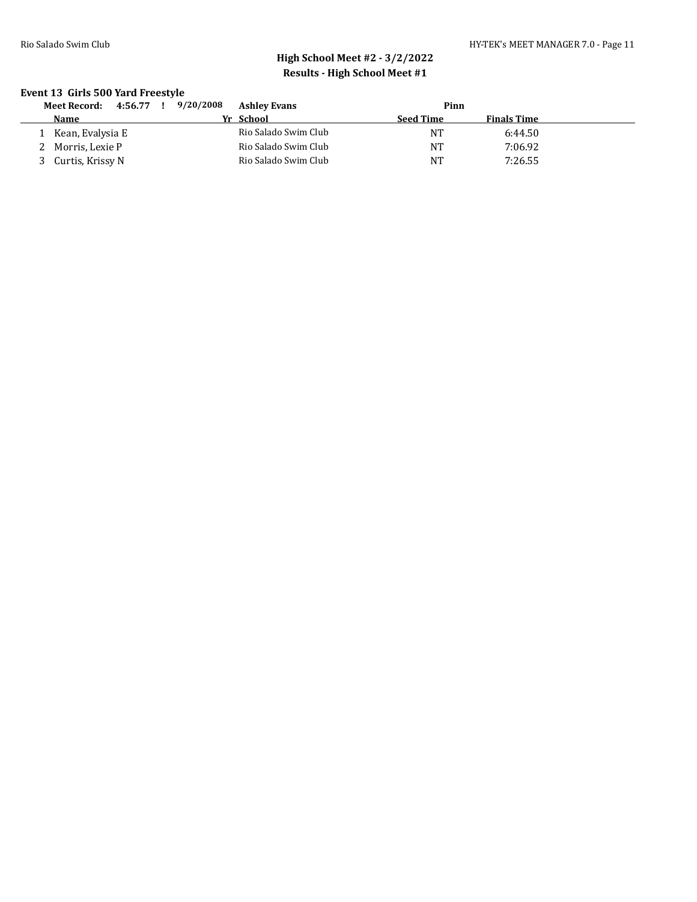### **Event 13 Girls 500 Yard Freestyle**

| 4:56.77<br>Meet Record: | 9/20/2008 | <b>Ashley Evans</b>  |                  | Pinn      |                    |  |
|-------------------------|-----------|----------------------|------------------|-----------|--------------------|--|
| <b>Name</b>             | Yr School |                      | <b>Seed Time</b> |           | <b>Finals Time</b> |  |
| Kean, Evalysia E        |           | Rio Salado Swim Club |                  | ΝT        | 6:44.50            |  |
| Morris, Lexie P         |           | Rio Salado Swim Club |                  | NT        | 7:06.92            |  |
| Curtis, Krissy N        |           | Rio Salado Swim Club |                  | <b>NT</b> | 7:26.55            |  |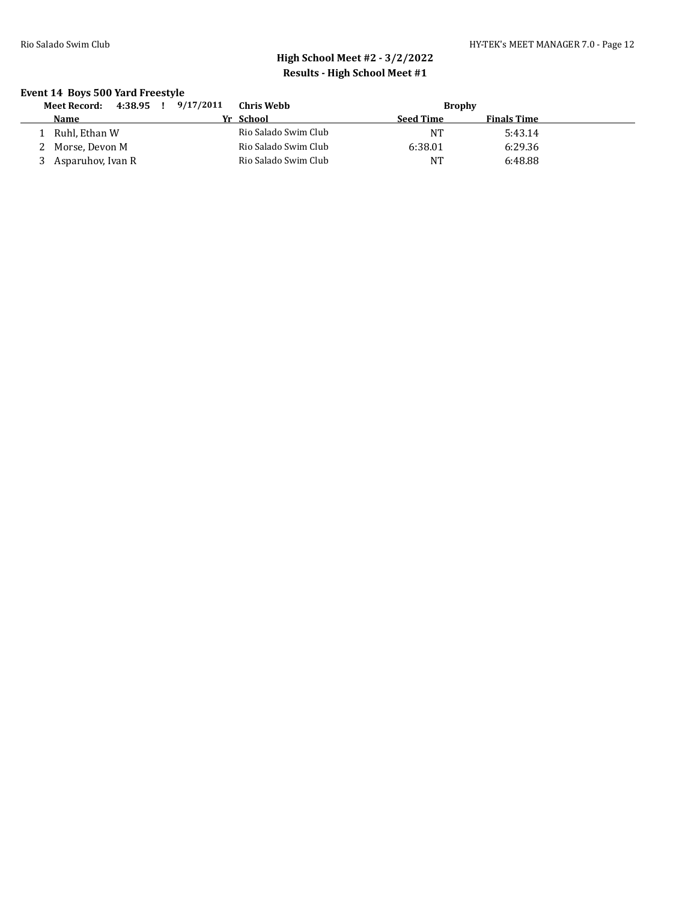### **Event 14 Boys 500 Yard Freestyle**

| 4:38.95<br>Meet Record: | 9/17/2011 | Chris Webb           |                  | <b>Brophy</b>      |  |
|-------------------------|-----------|----------------------|------------------|--------------------|--|
| <b>Name</b>             |           | Yr School            | <b>Seed Time</b> | <b>Finals Time</b> |  |
| Ruhl, Ethan W           |           | Rio Salado Swim Club | NT               | 5:43.14            |  |
| 2 Morse, Devon M        |           | Rio Salado Swim Club | 6:38.01          | 6:29.36            |  |
| Asparuhov, Ivan R       |           | Rio Salado Swim Club | <b>NT</b>        | 6:48.88            |  |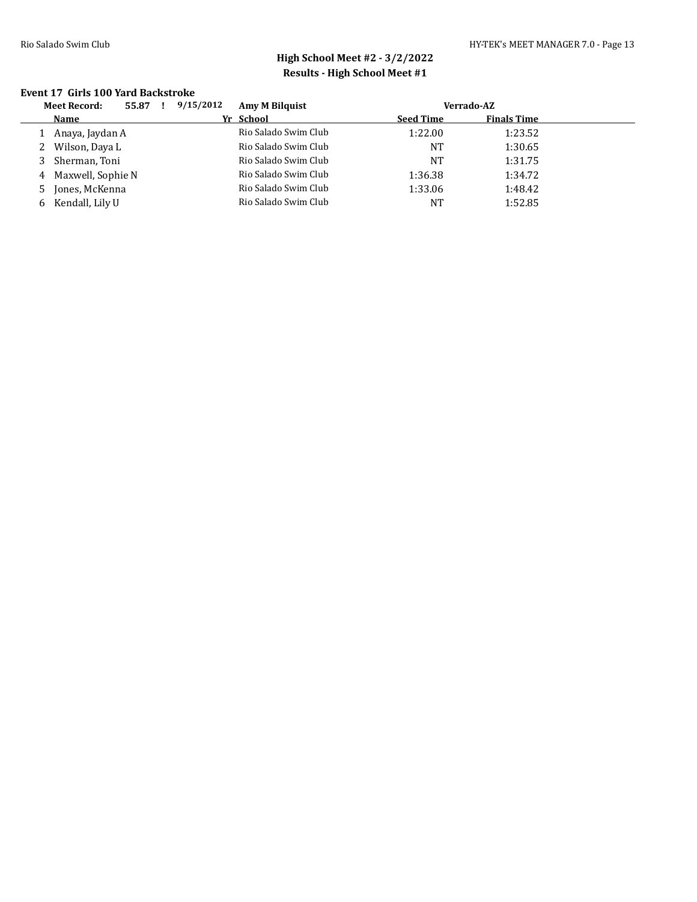#### **Event 17 Girls 100 Yard Backstroke**

|    | <b>Meet Record:</b> | 9/15/2012<br>55.87 |  | <b>Amy M Bilguist</b> |                  | Verrado-AZ         |  |  |
|----|---------------------|--------------------|--|-----------------------|------------------|--------------------|--|--|
|    | Name                |                    |  | Yr School             | <b>Seed Time</b> | <b>Finals Time</b> |  |  |
|    | Anaya, Jaydan A     |                    |  | Rio Salado Swim Club  | 1:22.00          | 1:23.52            |  |  |
| 2  | Wilson, Daya L      |                    |  | Rio Salado Swim Club  | NT               | 1:30.65            |  |  |
| 3  | Sherman, Toni       |                    |  | Rio Salado Swim Club  | NT               | 1:31.75            |  |  |
|    | 4 Maxwell, Sophie N |                    |  | Rio Salado Swim Club  | 1:36.38          | 1:34.72            |  |  |
| 5. | Jones, McKenna      |                    |  | Rio Salado Swim Club  | 1:33.06          | 1:48.42            |  |  |
| 6. | Kendall, Lily U     |                    |  | Rio Salado Swim Club  | NT               | 1:52.85            |  |  |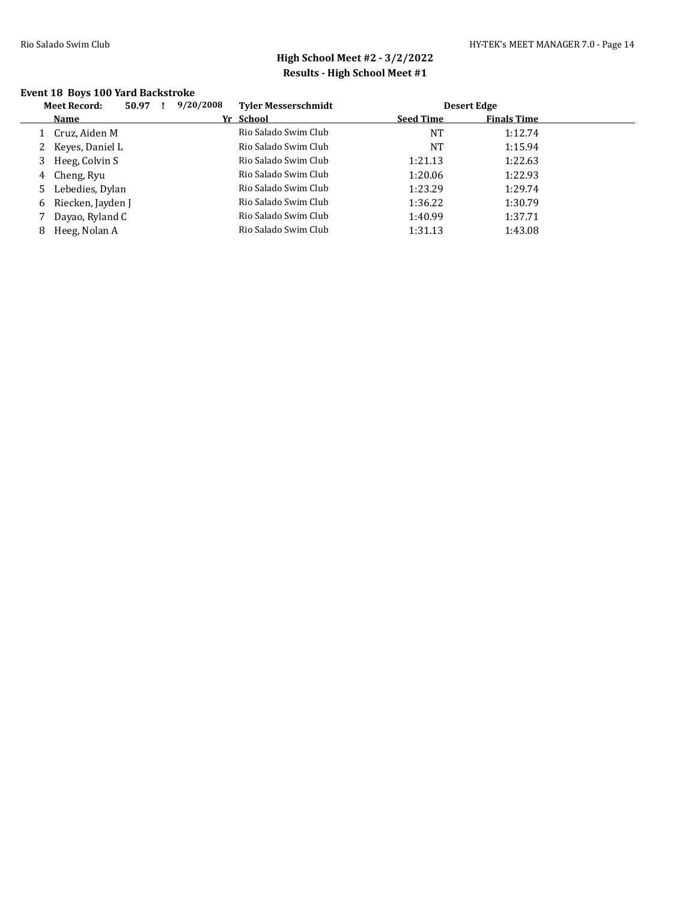### **Event 18 Boys 100 Yard Backstroke**

|    | <b>Meet Record:</b> | 50.97 | 9/20/2008<br><b>Tyler Messerschmidt</b> |                  | <b>Desert Edge</b> |  |
|----|---------------------|-------|-----------------------------------------|------------------|--------------------|--|
|    | Name                |       | Yr School                               | <b>Seed Time</b> | <b>Finals Time</b> |  |
|    | Cruz, Aiden M       |       | Rio Salado Swim Club                    | NT               | 1:12.74            |  |
|    | 2 Keyes, Daniel L   |       | Rio Salado Swim Club                    | NT               | 1:15.94            |  |
|    | Heeg, Colvin S      |       | Rio Salado Swim Club                    | 1:21.13          | 1:22.63            |  |
| 4  | Cheng, Ryu          |       | Rio Salado Swim Club                    | 1:20.06          | 1:22.93            |  |
| 5. | Lebedies, Dylan     |       | Rio Salado Swim Club                    | 1:23.29          | 1:29.74            |  |
| 6  | Riecken, Jayden J   |       | Rio Salado Swim Club                    | 1:36.22          | 1:30.79            |  |
|    | Dayao, Ryland C     |       | Rio Salado Swim Club                    | 1:40.99          | 1:37.71            |  |
| 8  | Heeg, Nolan A       |       | Rio Salado Swim Club                    | 1:31.13          | 1:43.08            |  |
|    |                     |       |                                         |                  |                    |  |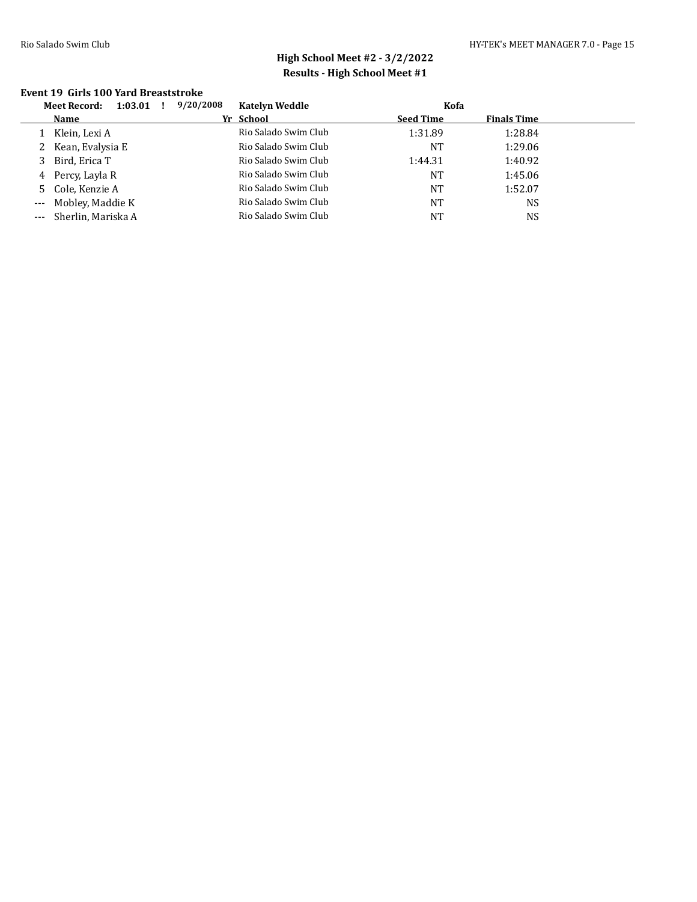#### **Event 19 Girls 100 Yard Breaststroke**

| <b>Meet Record:</b><br>1:03.01 | 9/20/2008 | <b>Katelyn Weddle</b> | Kofa             |                    |  |
|--------------------------------|-----------|-----------------------|------------------|--------------------|--|
| <b>Name</b>                    |           | Yr School             | <b>Seed Time</b> | <b>Finals Time</b> |  |
| Klein, Lexi A                  |           | Rio Salado Swim Club  | 1:31.89          | 1:28.84            |  |
| 2 Kean, Evalysia E             |           | Rio Salado Swim Club  | <b>NT</b>        | 1:29.06            |  |
| Bird, Erica T                  |           | Rio Salado Swim Club  | 1:44.31          | 1:40.92            |  |
| 4 Percy, Layla R               |           | Rio Salado Swim Club  | <b>NT</b>        | 1:45.06            |  |
| 5 Cole, Kenzie A               |           | Rio Salado Swim Club  | <b>NT</b>        | 1:52.07            |  |
| --- Mobley, Maddie K           |           | Rio Salado Swim Club  | <b>NT</b>        | <b>NS</b>          |  |
| Sherlin, Mariska A             |           | Rio Salado Swim Club  | <b>NT</b>        | <b>NS</b>          |  |